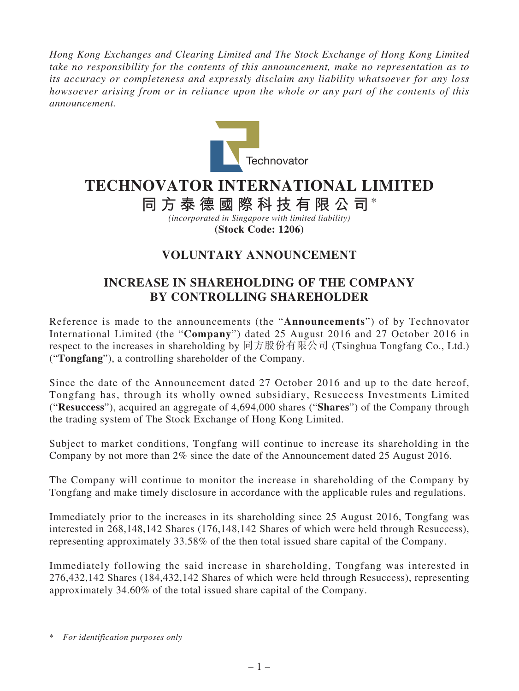*Hong Kong Exchanges and Clearing Limited and The Stock Exchange of Hong Kong Limited take no responsibility for the contents of this announcement, make no representation as to its accuracy or completeness and expressly disclaim any liability whatsoever for any loss howsoever arising from or in reliance upon the whole or any part of the contents of this announcement.*



## **TECHNOVATOR INTERNATIONAL LIMITED**

**同方泰德國際科技有限公司**\*

*(incorporated in Singapore with limited liability)* **(Stock Code: 1206)**

## **VOLUNTARY ANNOUNCEMENT**

## **INCREASE IN SHAREHOLDING OF THE COMPANY BY CONTROLLING SHAREHOLDER**

Reference is made to the announcements (the "**Announcements**") of by Technovator International Limited (the "**Company**") dated 25 August 2016 and 27 October 2016 in respect to the increases in shareholding by 同方股份有限公司 (Tsinghua Tongfang Co., Ltd.) ("**Tongfang**"), a controlling shareholder of the Company.

Since the date of the Announcement dated 27 October 2016 and up to the date hereof, Tongfang has, through its wholly owned subsidiary, Resuccess Investments Limited ("**Resuccess**"), acquired an aggregate of 4,694,000 shares ("**Shares**") of the Company through the trading system of The Stock Exchange of Hong Kong Limited.

Subject to market conditions, Tongfang will continue to increase its shareholding in the Company by not more than 2% since the date of the Announcement dated 25 August 2016.

The Company will continue to monitor the increase in shareholding of the Company by Tongfang and make timely disclosure in accordance with the applicable rules and regulations.

Immediately prior to the increases in its shareholding since 25 August 2016, Tongfang was interested in 268,148,142 Shares (176,148,142 Shares of which were held through Resuccess), representing approximately 33.58% of the then total issued share capital of the Company.

Immediately following the said increase in shareholding, Tongfang was interested in 276,432,142 Shares (184,432,142 Shares of which were held through Resuccess), representing approximately 34.60% of the total issued share capital of the Company.

<sup>\*</sup> *For identification purposes only*